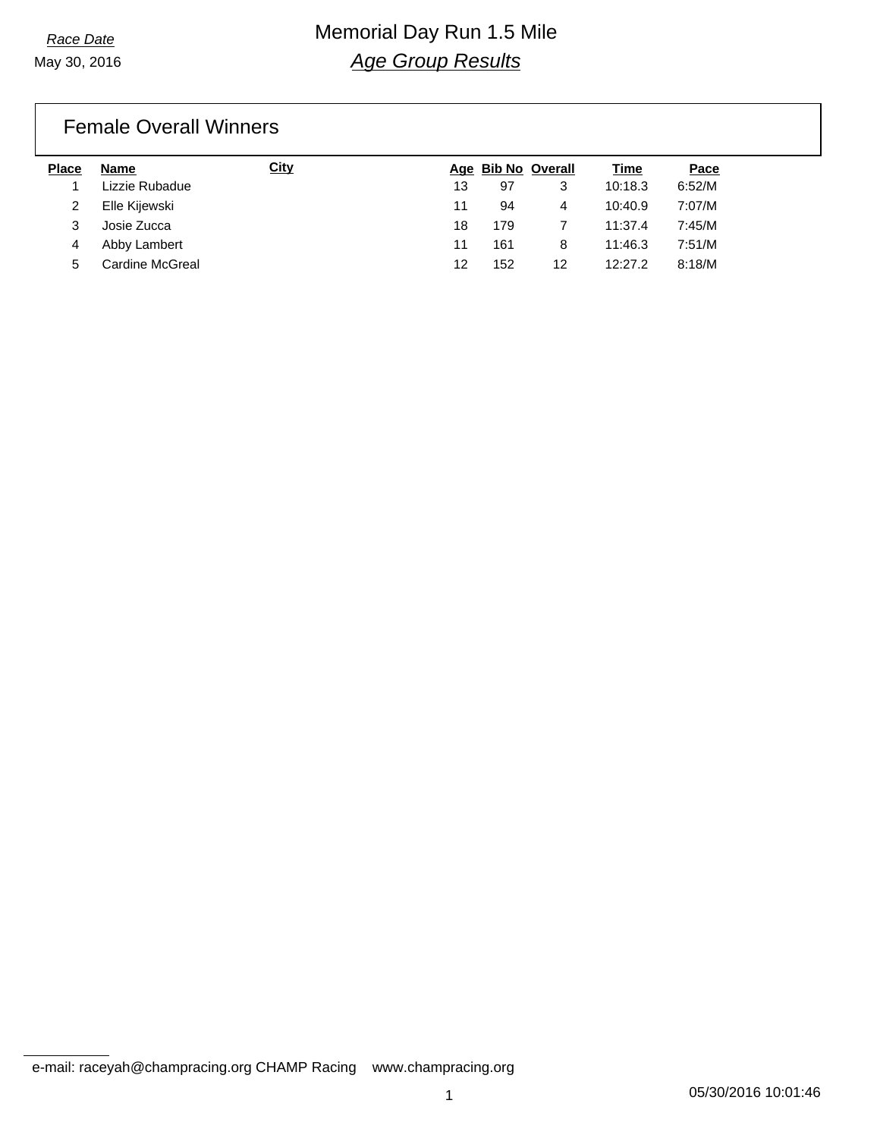# *Race Date* Memorial Day Run 1.5 Mile *Age Group Results*

### Female Overall Winners

| <b>Place</b> | <b>Name</b>     | <u>City</u> |    |     | Age Bib No Overall | <u>Time</u> | Pace   |
|--------------|-----------------|-------------|----|-----|--------------------|-------------|--------|
|              | Lizzie Rubadue  |             | 13 | 97  |                    | 10:18.3     | 6:52/M |
|              | Elle Kijewski   |             | 11 | 94  | 4                  | 10:40.9     | 7:07/M |
|              | Josie Zucca     |             | 18 | 179 |                    | 11:37.4     | 7:45/M |
| 4            | Abby Lambert    |             | 11 | 161 | 8                  | 11:46.3     | 7:51/M |
| 5            | Cardine McGreal |             | 12 | 152 | 12                 | 12:27.2     | 8:18/M |

e-mail: raceyah@champracing.org CHAMP Racing www.champracing.org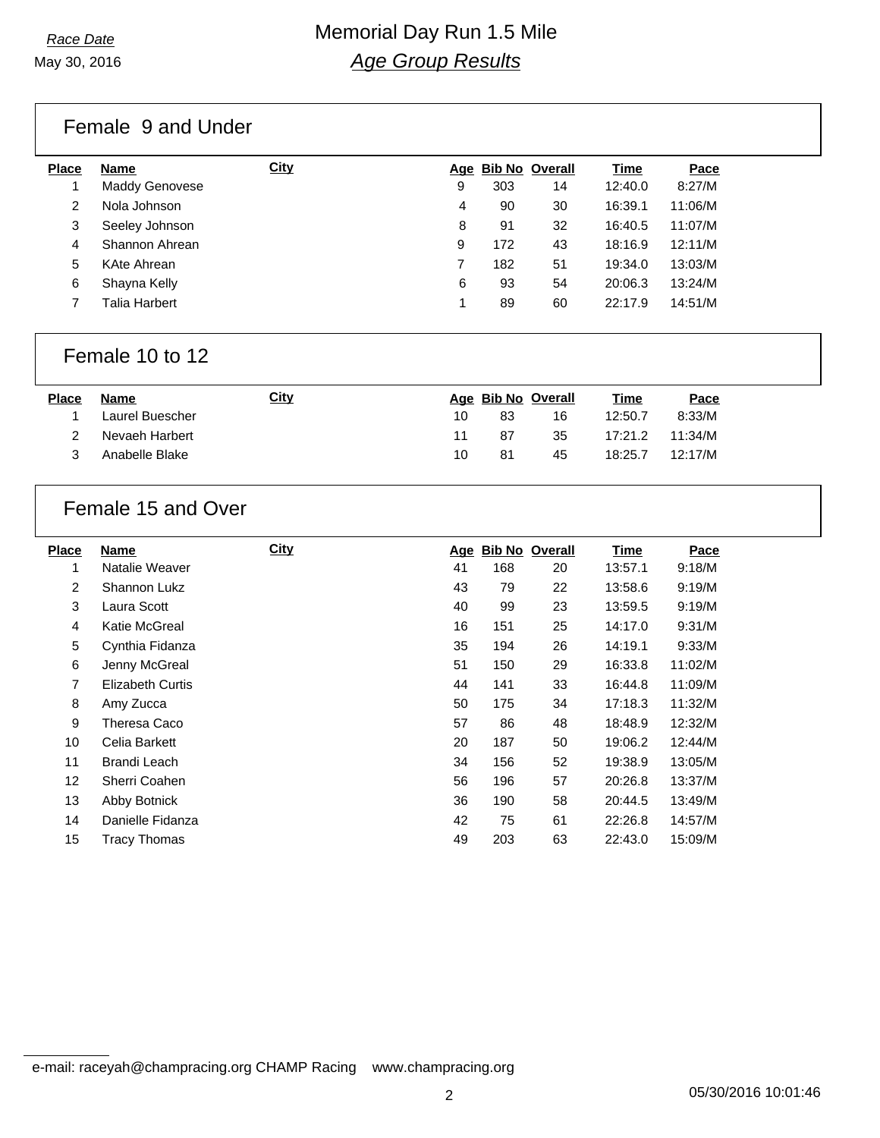# *Race Date* Memorial Day Run 1.5 Mile *Age Group Results*

Female 9 and Under

| <b>Place</b> | <b>Name</b>               | <b>City</b> |   | Age Bib No Overall |    | Time    | Pace    |
|--------------|---------------------------|-------------|---|--------------------|----|---------|---------|
|              | Maddy Genovese            |             | 9 | 303                | 14 | 12:40.0 | 8:27/M  |
| 2            | Nola Johnson              |             | 4 | 90                 | 30 | 16:39.1 | 11:06/M |
| 3            | Seeley Johnson            |             | 8 | 91                 | 32 | 16:40.5 | 11:07/M |
| 4            | Shannon Ahrean            |             | 9 | 172                | 43 | 18:16.9 | 12:11/M |
| 5            | KAte Ahrean               |             |   | 182                | 51 | 19:34.0 | 13:03/M |
| 6            | Shayna Kelly              |             | 6 | 93                 | 54 | 20:06.3 | 13:24/M |
|              | <sup>r</sup> alia Harbert |             |   | 89                 | 60 | 22:17.9 | 14:51/M |
|              |                           |             |   |                    |    |         |         |

### Female 10 to 12

| <b>Place</b> | Name            | City |     | Age Bib No Overall |    | <u>Time</u> | Pace    |  |
|--------------|-----------------|------|-----|--------------------|----|-------------|---------|--|
|              | Laurel Buescher |      | 10. | 83                 | 16 | 12:50.7     | 8:33/M  |  |
|              | Nevaeh Harbert  |      |     | 87                 | 35 | 17:21.2     | 11:34/M |  |
|              | Anabelle Blake  |      | 10  | 81                 | 45 | 18:25.7     | 12:17/M |  |

## Female 15 and Over

| <b>Place</b> | <b>Name</b>             | <b>City</b> | Age | <b>Bib No Overall</b> |    | <b>Time</b> | Pace    |
|--------------|-------------------------|-------------|-----|-----------------------|----|-------------|---------|
| 1            | Natalie Weaver          |             | 41  | 168                   | 20 | 13:57.1     | 9:18/M  |
| 2            | Shannon Lukz            |             | 43  | 79                    | 22 | 13:58.6     | 9:19/M  |
| 3            | Laura Scott             |             | 40  | 99                    | 23 | 13:59.5     | 9:19/M  |
| 4            | Katie McGreal           |             | 16  | 151                   | 25 | 14:17.0     | 9:31/M  |
| 5            | Cynthia Fidanza         |             | 35  | 194                   | 26 | 14:19.1     | 9:33/M  |
| 6            | Jenny McGreal           |             | 51  | 150                   | 29 | 16:33.8     | 11:02/M |
| 7            | <b>Elizabeth Curtis</b> |             | 44  | 141                   | 33 | 16:44.8     | 11:09/M |
| 8            | Amy Zucca               |             | 50  | 175                   | 34 | 17:18.3     | 11:32/M |
| 9            | Theresa Caco            |             | 57  | 86                    | 48 | 18:48.9     | 12:32/M |
| 10           | Celia Barkett           |             | 20  | 187                   | 50 | 19:06.2     | 12:44/M |
| 11           | Brandi Leach            |             | 34  | 156                   | 52 | 19:38.9     | 13:05/M |
| 12           | Sherri Coahen           |             | 56  | 196                   | 57 | 20:26.8     | 13:37/M |
| 13           | Abby Botnick            |             | 36  | 190                   | 58 | 20:44.5     | 13:49/M |
| 14           | Danielle Fidanza        |             | 42  | 75                    | 61 | 22:26.8     | 14:57/M |
| 15           | Tracy Thomas            |             | 49  | 203                   | 63 | 22:43.0     | 15:09/M |

e-mail: raceyah@champracing.org CHAMP Racing www.champracing.org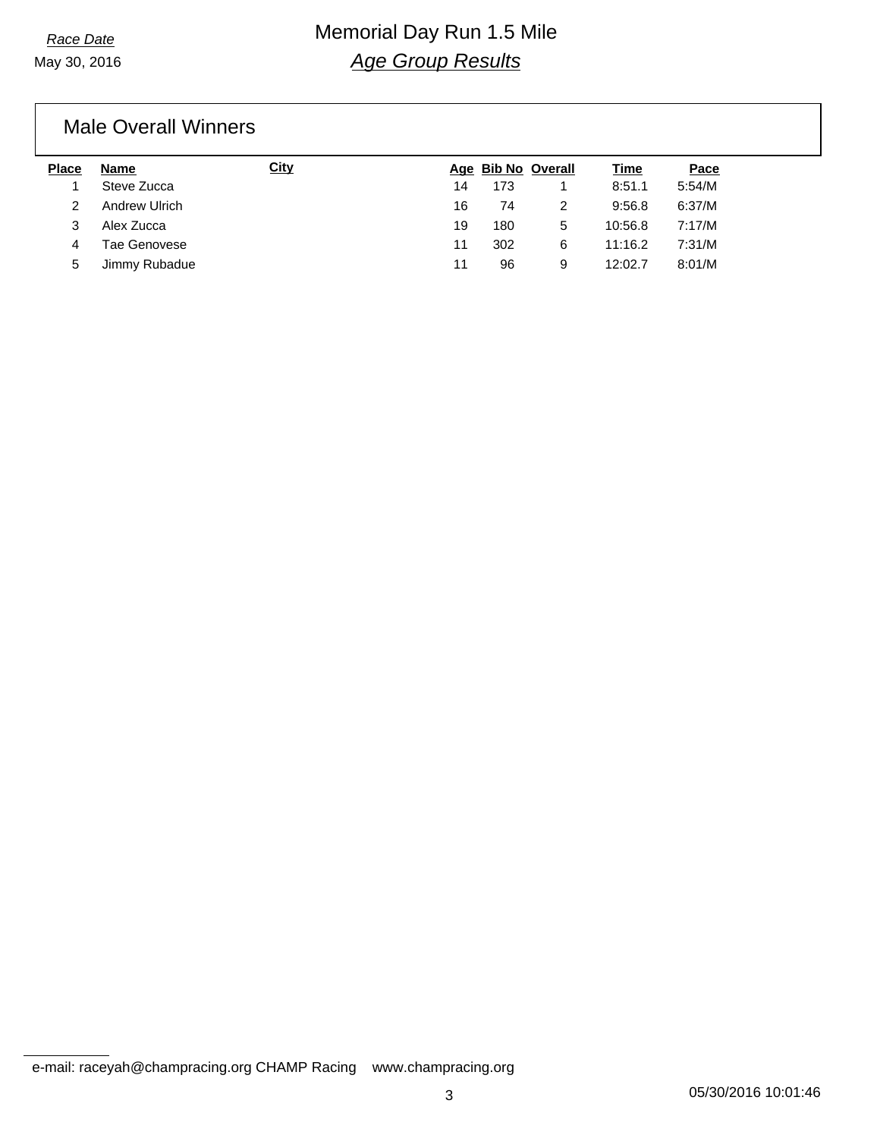# *Race Date* Memorial Day Run 1.5 Mile *Age Group Results*

### Male Overall Winners

| <b>Place</b> | <b>Name</b>   | <u>City</u> |    | Age Bib No Overall |   | <u>Time</u> | Pace   |
|--------------|---------------|-------------|----|--------------------|---|-------------|--------|
|              | Steve Zucca   |             | 14 | 173                |   | 8:51.1      | 5:54/M |
|              | Andrew Ulrich |             | 16 | 74                 |   | 9:56.8      | 6:37/M |
|              | Alex Zucca    |             | 19 | 180                | 5 | 10:56.8     | 7:17/M |
| 4            | Tae Genovese  |             | 11 | 302                | 6 | 11:16.2     | 7:31/M |
| 5            | Jimmy Rubadue |             | 11 | 96                 | 9 | 12:02.7     | 8:01/M |

e-mail: raceyah@champracing.org CHAMP Racing www.champracing.org